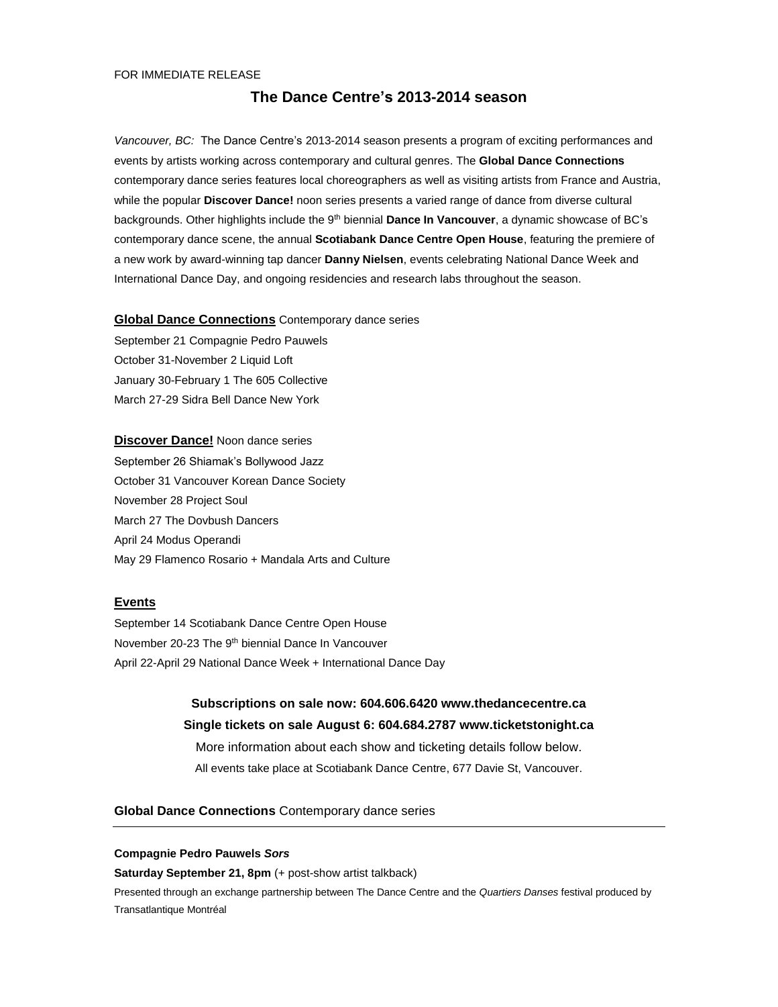# **The Dance Centre's 2013-2014 season**

*Vancouver, BC:* The Dance Centre's 2013-2014 season presents a program of exciting performances and events by artists working across contemporary and cultural genres. The **Global Dance Connections** contemporary dance series features local choreographers as well as visiting artists from France and Austria, while the popular **Discover Dance!** noon series presents a varied range of dance from diverse cultural backgrounds. Other highlights include the 9th biennial **Dance In Vancouver**, a dynamic showcase of BC's contemporary dance scene, the annual **Scotiabank Dance Centre Open House**, featuring the premiere of a new work by award-winning tap dancer **Danny Nielsen**, events celebrating National Dance Week and International Dance Day, and ongoing residencies and research labs throughout the season.

## **Global Dance Connections** Contemporary dance series

September 21 Compagnie Pedro Pauwels October 31-November 2 Liquid Loft January 30-February 1 The 605 Collective March 27-29 Sidra Bell Dance New York

**Discover Dance!** Noon dance series September 26 Shiamak's Bollywood Jazz October 31 Vancouver Korean Dance Society November 28 Project Soul March 27 The Dovbush Dancers April 24 Modus Operandi May 29 Flamenco Rosario + Mandala Arts and Culture

# **Events**

September 14 Scotiabank Dance Centre Open House November 20-23 The 9<sup>th</sup> biennial Dance In Vancouver April 22-April 29 National Dance Week + International Dance Day

> **Subscriptions on sale now: 604.606.6420 www.thedancecentre.ca Single tickets on sale August 6: 604.684.2787 www.ticketstonight.ca** More information about each show and ticketing details follow below. All events take place at Scotiabank Dance Centre, 677 Davie St, Vancouver.

# **Global Dance Connections** Contemporary dance series

#### **Compagnie Pedro Pauwels** *Sors*

**Saturday September 21, 8pm** (+ post-show artist talkback)

Presented through an exchange partnership between The Dance Centre and the *Quartiers Danses* festival produced by Transatlantique Montréal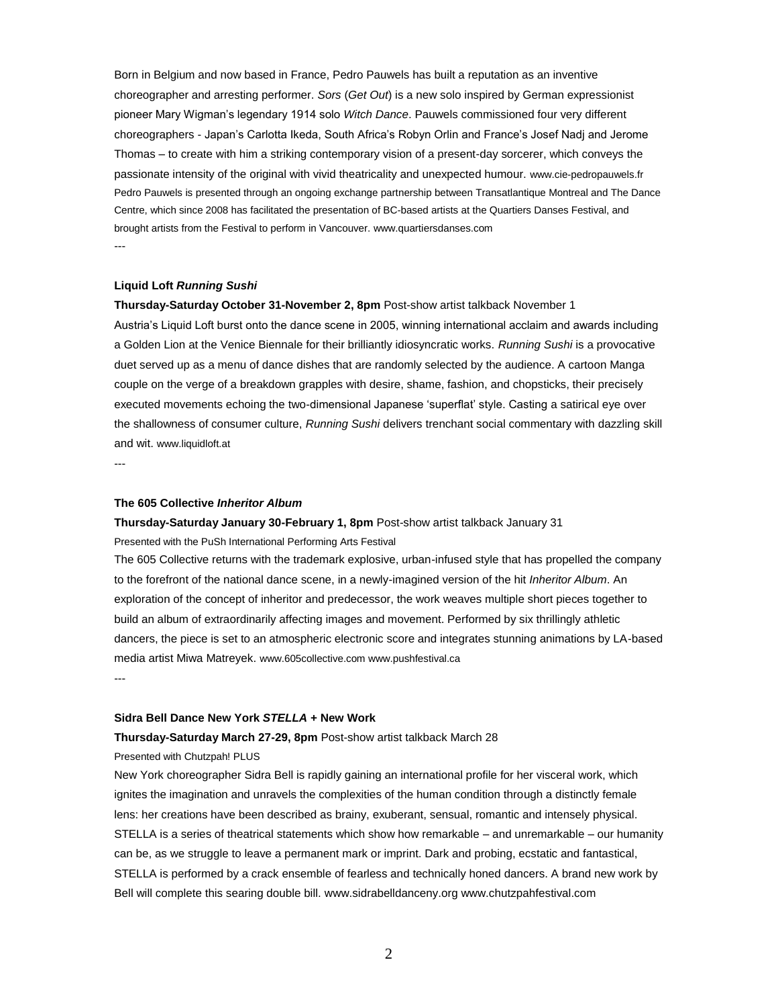Born in Belgium and now based in France, Pedro Pauwels has built a reputation as an inventive choreographer and arresting performer. *Sors* (*Get Out*) is a new solo inspired by German expressionist pioneer Mary Wigman's legendary 1914 solo *Witch Dance*. Pauwels commissioned four very different choreographers - Japan's Carlotta Ikeda, South Africa's Robyn Orlin and France's Josef Nadj and Jerome Thomas – to create with him a striking contemporary vision of a present-day sorcerer, which conveys the passionate intensity of the original with vivid theatricality and unexpected humour. www.cie-pedropauwels.fr Pedro Pauwels is presented through an ongoing exchange partnership between Transatlantique Montreal and The Dance Centre, which since 2008 has facilitated the presentation of BC-based artists at the Quartiers Danses Festival, and brought artists from the Festival to perform in Vancouver. www.quartiersdanses.com ---

#### **Liquid Loft** *Running Sushi*

**Thursday-Saturday October 31-November 2, 8pm** Post-show artist talkback November 1 Austria's Liquid Loft burst onto the dance scene in 2005, winning international acclaim and awards including a Golden Lion at the Venice Biennale for their brilliantly idiosyncratic works. *Running Sushi* is a provocative duet served up as a menu of dance dishes that are randomly selected by the audience. A cartoon Manga couple on the verge of a breakdown grapples with desire, shame, fashion, and chopsticks, their precisely executed movements echoing the two-dimensional Japanese 'superflat' style. Casting a satirical eye over the shallowness of consumer culture, *Running Sushi* delivers trenchant social commentary with dazzling skill and wit. www.liquidloft.at

---

#### **The 605 Collective** *Inheritor Album*

# **Thursday-Saturday January 30-February 1, 8pm** Post-show artist talkback January 31

Presented with the PuSh International Performing Arts Festival

The 605 Collective returns with the trademark explosive, urban-infused style that has propelled the company to the forefront of the national dance scene, in a newly-imagined version of the hit *Inheritor Album*. An exploration of the concept of inheritor and predecessor, the work weaves multiple short pieces together to build an album of extraordinarily affecting images and movement. Performed by six thrillingly athletic dancers, the piece is set to an atmospheric electronic score and integrates stunning animations by LA-based media artist Miwa Matreyek. www.605collective.com www.pushfestival.ca

---

#### **Sidra Bell Dance New York** *STELLA* **+ New Work**

#### **Thursday-Saturday March 27-29, 8pm** Post-show artist talkback March 28

#### Presented with Chutzpah! PLUS

New York choreographer Sidra Bell is rapidly gaining an international profile for her visceral work, which ignites the imagination and unravels the complexities of the human condition through a distinctly female lens: her creations have been described as brainy, exuberant, sensual, romantic and intensely physical. STELLA is a series of theatrical statements which show how remarkable – and unremarkable – our humanity can be, as we struggle to leave a permanent mark or imprint. Dark and probing, ecstatic and fantastical, STELLA is performed by a crack ensemble of fearless and technically honed dancers. A brand new work by Bell will complete this searing double bill. www.sidrabelldanceny.org www.chutzpahfestival.com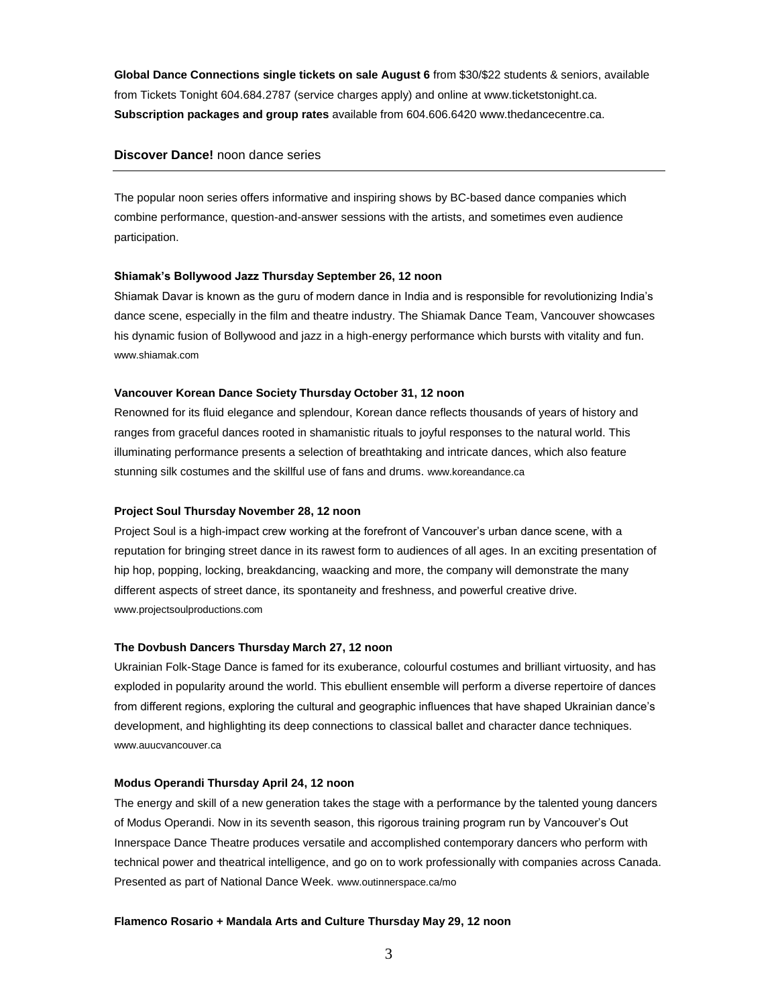**Global Dance Connections single tickets on sale August 6** from \$30/\$22 students & seniors, available from Tickets Tonight 604.684.2787 (service charges apply) and online at www.ticketstonight.ca. **Subscription packages and group rates** available from 604.606.6420 www.thedancecentre.ca.

# **Discover Dance!** noon dance series

The popular noon series offers informative and inspiring shows by BC-based dance companies which combine performance, question-and-answer sessions with the artists, and sometimes even audience participation.

## **Shiamak's Bollywood Jazz Thursday September 26, 12 noon**

Shiamak Davar is known as the guru of modern dance in India and is responsible for revolutionizing India's dance scene, especially in the film and theatre industry. The Shiamak Dance Team, Vancouver showcases his dynamic fusion of Bollywood and jazz in a high-energy performance which bursts with vitality and fun. www.shiamak.com

# **Vancouver Korean Dance Society Thursday October 31, 12 noon**

Renowned for its fluid elegance and splendour, Korean dance reflects thousands of years of history and ranges from graceful dances rooted in shamanistic rituals to joyful responses to the natural world. This illuminating performance presents a selection of breathtaking and intricate dances, which also feature stunning silk costumes and the skillful use of fans and drums. www.koreandance.ca

# **Project Soul Thursday November 28, 12 noon**

Project Soul is a high-impact crew working at the forefront of Vancouver's urban dance scene, with a reputation for bringing street dance in its rawest form to audiences of all ages. In an exciting presentation of hip hop, popping, locking, breakdancing, waacking and more, the company will demonstrate the many different aspects of street dance, its spontaneity and freshness, and powerful creative drive. www.projectsoulproductions.com

# **The Dovbush Dancers Thursday March 27, 12 noon**

Ukrainian Folk-Stage Dance is famed for its exuberance, colourful costumes and brilliant virtuosity, and has exploded in popularity around the world. This ebullient ensemble will perform a diverse repertoire of dances from different regions, exploring the cultural and geographic influences that have shaped Ukrainian dance's development, and highlighting its deep connections to classical ballet and character dance techniques. www.auucvancouver.ca

## **Modus Operandi Thursday April 24, 12 noon**

The energy and skill of a new generation takes the stage with a performance by the talented young dancers of Modus Operandi. Now in its seventh season, this rigorous training program run by Vancouver's Out Innerspace Dance Theatre produces versatile and accomplished contemporary dancers who perform with technical power and theatrical intelligence, and go on to work professionally with companies across Canada. Presented as part of National Dance Week. www.outinnerspace.ca/mo

## **Flamenco Rosario + Mandala Arts and Culture Thursday May 29, 12 noon**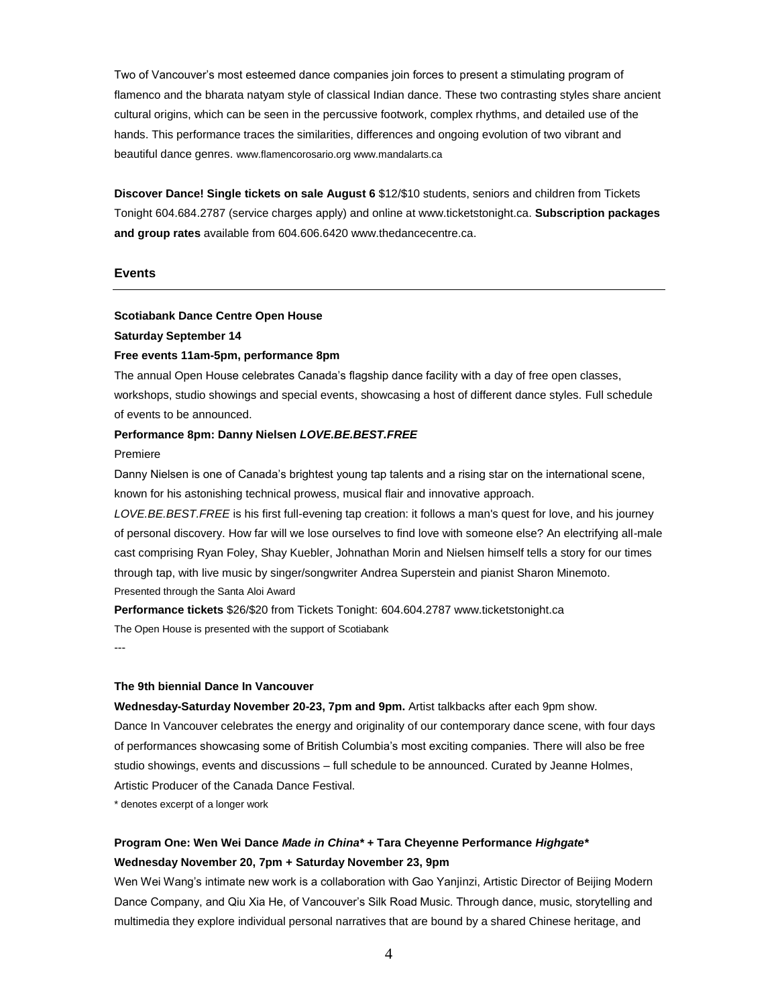Two of Vancouver's most esteemed dance companies join forces to present a stimulating program of flamenco and the bharata natyam style of classical Indian dance. These two contrasting styles share ancient cultural origins, which can be seen in the percussive footwork, complex rhythms, and detailed use of the hands. This performance traces the similarities, differences and ongoing evolution of two vibrant and beautiful dance genres. www.flamencorosario.org www.mandalarts.ca

**Discover Dance! Single tickets on sale August 6** \$12/\$10 students, seniors and children from Tickets Tonight 604.684.2787 (service charges apply) and online at www.ticketstonight.ca. **Subscription packages and group rates** available from 604.606.6420 www.thedancecentre.ca.

## **Events**

# **Scotiabank Dance Centre Open House**

#### **Saturday September 14**

#### **Free events 11am-5pm, performance 8pm**

The annual Open House celebrates Canada's flagship dance facility with a day of free open classes, workshops, studio showings and special events, showcasing a host of different dance styles. Full schedule of events to be announced.

#### **Performance 8pm: Danny Nielsen** *LOVE.BE.BEST.FREE*

#### Premiere

Danny Nielsen is one of Canada's brightest young tap talents and a rising star on the international scene, known for his astonishing technical prowess, musical flair and innovative approach.

*LOVE.BE.BEST.FREE* is his first full-evening tap creation: it follows a man's quest for love, and his journey of personal discovery. How far will we lose ourselves to find love with someone else? An electrifying all-male cast comprising Ryan Foley, Shay Kuebler, Johnathan Morin and Nielsen himself tells a story for our times through tap, with live music by singer/songwriter Andrea Superstein and pianist Sharon Minemoto. Presented through the Santa Aloi Award

**Performance tickets** \$26/\$20 from Tickets Tonight: 604.604.2787 www.ticketstonight.ca The Open House is presented with the support of Scotiabank

---

## **The 9th biennial Dance In Vancouver**

**Wednesday-Saturday November 20-23, 7pm and 9pm.** Artist talkbacks after each 9pm show. Dance In Vancouver celebrates the energy and originality of our contemporary dance scene, with four days of performances showcasing some of British Columbia's most exciting companies. There will also be free studio showings, events and discussions – full schedule to be announced. Curated by Jeanne Holmes, Artistic Producer of the Canada Dance Festival.

\* denotes excerpt of a longer work

# **Program One: Wen Wei Dance** *Made in China\** **+ Tara Cheyenne Performance** *Highgate\** **Wednesday November 20, 7pm + Saturday November 23, 9pm**

Wen Wei Wang's intimate new work is a collaboration with Gao Yanjinzi, Artistic Director of Beijing Modern Dance Company, and Qiu Xia He, of Vancouver's Silk Road Music. Through dance, music, storytelling and multimedia they explore individual personal narratives that are bound by a shared Chinese heritage, and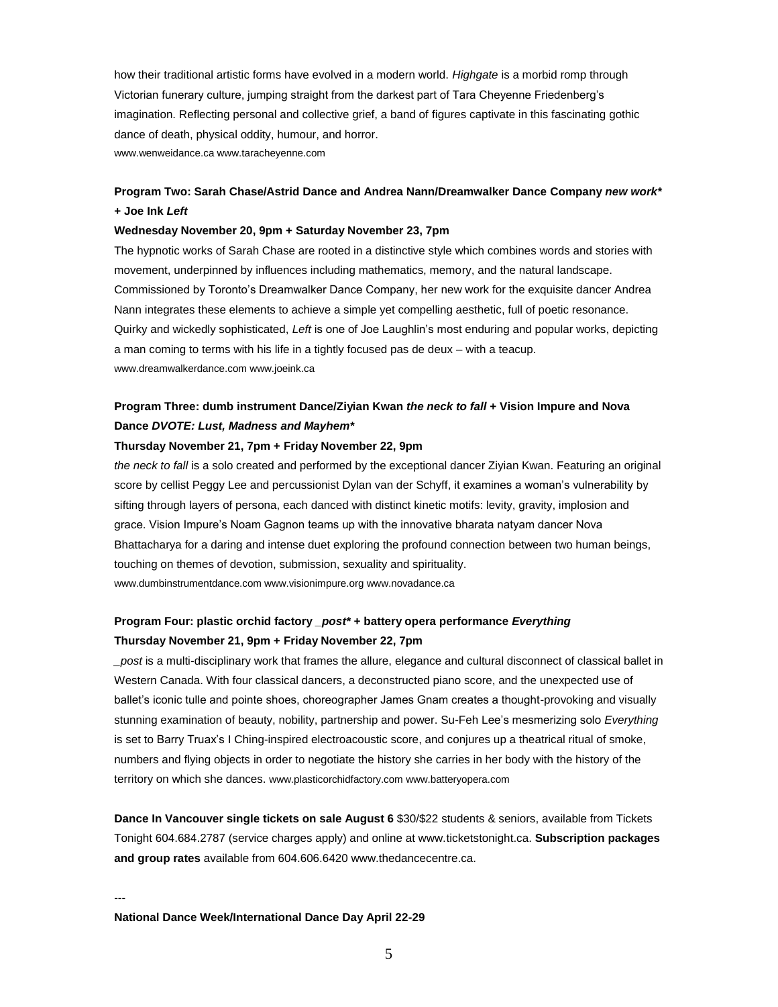how their traditional artistic forms have evolved in a modern world. *Highgate* is a morbid romp through Victorian funerary culture, jumping straight from the darkest part of Tara Cheyenne Friedenberg's imagination. Reflecting personal and collective grief, a band of figures captivate in this fascinating gothic dance of death, physical oddity, humour, and horror. www.wenweidance.ca www.taracheyenne.com

# **Program Two: Sarah Chase/Astrid Dance and Andrea Nann/Dreamwalker Dance Company** *new work\** **+ Joe Ink** *Left*

#### **Wednesday November 20, 9pm + Saturday November 23, 7pm**

The hypnotic works of Sarah Chase are rooted in a distinctive style which combines words and stories with movement, underpinned by influences including mathematics, memory, and the natural landscape. Commissioned by Toronto's Dreamwalker Dance Company, her new work for the exquisite dancer Andrea Nann integrates these elements to achieve a simple yet compelling aesthetic, full of poetic resonance. Quirky and wickedly sophisticated, *Left* is one of Joe Laughlin's most enduring and popular works, depicting a man coming to terms with his life in a tightly focused pas de deux – with a teacup. www.dreamwalkerdance.com www.joeink.ca

# **Program Three: dumb instrument Dance/Ziyian Kwan** *the neck to fall* **+ Vision Impure and Nova Dance** *DVOTE: Lust, Madness and Mayhem\**

#### **Thursday November 21, 7pm + Friday November 22, 9pm**

*the neck to fall* is a solo created and performed by the exceptional dancer Ziyian Kwan. Featuring an original score by cellist Peggy Lee and percussionist Dylan van der Schyff, it examines a woman's vulnerability by sifting through layers of persona, each danced with distinct kinetic motifs: levity, gravity, implosion and grace. Vision Impure's Noam Gagnon teams up with the innovative bharata natyam dancer Nova Bhattacharya for a daring and intense duet exploring the profound connection between two human beings, touching on themes of devotion, submission, sexuality and spirituality. www.dumbinstrumentdance.com www.visionimpure.org www.novadance.ca

# **Program Four: plastic orchid factory** *\_post\** **+ battery opera performance** *Everything* **Thursday November 21, 9pm + Friday November 22, 7pm**

*\_post* is a multi-disciplinary work that frames the allure, elegance and cultural disconnect of classical ballet in Western Canada. With four classical dancers, a deconstructed piano score, and the unexpected use of ballet's iconic tulle and pointe shoes, choreographer James Gnam creates a thought-provoking and visually stunning examination of beauty, nobility, partnership and power. Su-Feh Lee's mesmerizing solo *Everything* is set to Barry Truax's I Ching-inspired electroacoustic score, and conjures up a theatrical ritual of smoke, numbers and flying objects in order to negotiate the history she carries in her body with the history of the territory on which she dances. www.plasticorchidfactory.com www.batteryopera.com

**Dance In Vancouver single tickets on sale August 6** \$30/\$22 students & seniors, available from Tickets Tonight 604.684.2787 (service charges apply) and online at www.ticketstonight.ca. **Subscription packages and group rates** available from 604.606.6420 www.thedancecentre.ca.

**National Dance Week/International Dance Day April 22-29** 

---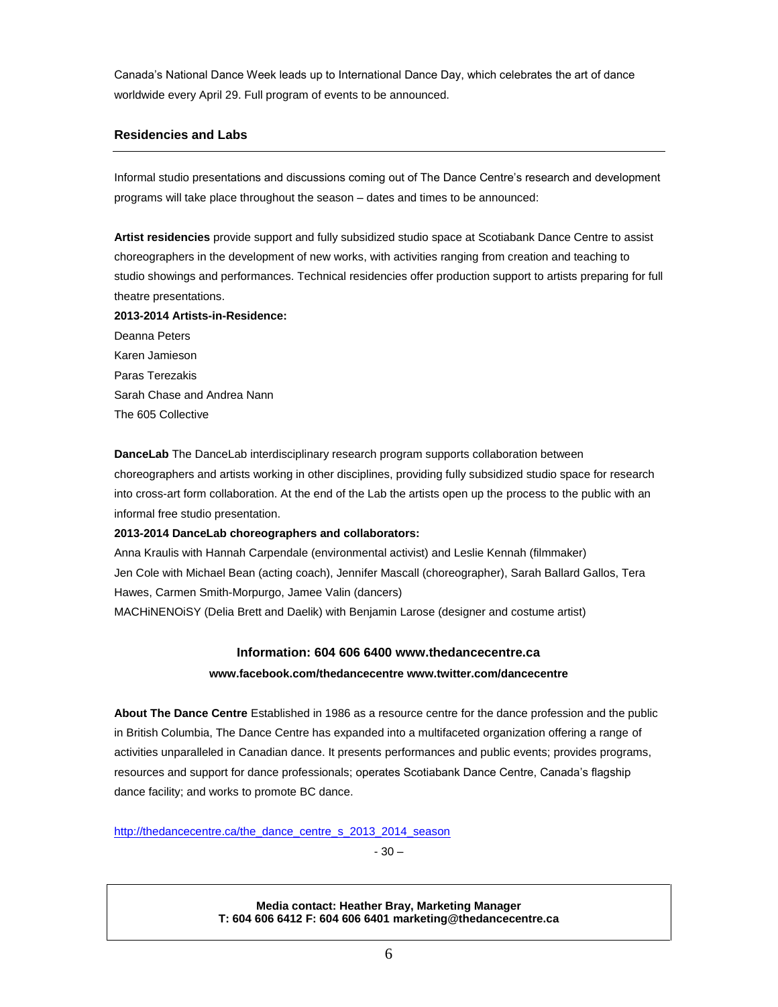Canada's National Dance Week leads up to International Dance Day, which celebrates the art of dance worldwide every April 29. Full program of events to be announced.

# **Residencies and Labs**

Informal studio presentations and discussions coming out of The Dance Centre's research and development programs will take place throughout the season – dates and times to be announced:

**Artist residencies** provide support and fully subsidized studio space at Scotiabank Dance Centre to assist choreographers in the development of new works, with activities ranging from creation and teaching to studio showings and performances. Technical residencies offer production support to artists preparing for full theatre presentations.

**2013-2014 Artists-in-Residence:**

Deanna Peters Karen Jamieson Paras Terezakis Sarah Chase and Andrea Nann The 605 Collective

**DanceLab** The DanceLab interdisciplinary research program supports collaboration between choreographers and artists working in other disciplines, providing fully subsidized studio space for research into cross-art form collaboration. At the end of the Lab the artists open up the process to the public with an informal free studio presentation.

# **2013-2014 DanceLab choreographers and collaborators:**

Anna Kraulis with Hannah Carpendale (environmental activist) and Leslie Kennah (filmmaker) Jen Cole with Michael Bean (acting coach), Jennifer Mascall (choreographer), Sarah Ballard Gallos, Tera Hawes, Carmen Smith-Morpurgo, Jamee Valin (dancers) MACHiNENOiSY (Delia Brett and Daelik) with Benjamin Larose (designer and costume artist)

# **Information: 604 606 6400 www.thedancecentre.ca**

# **www.facebook.com/thedancecentre www.twitter.com/dancecentre**

**About The Dance Centre** Established in 1986 as a resource centre for the dance profession and the public in British Columbia, The Dance Centre has expanded into a multifaceted organization offering a range of activities unparalleled in Canadian dance. It presents performances and public events; provides programs, resources and support for dance professionals; operates Scotiabank Dance Centre, Canada's flagship dance facility; and works to promote BC dance.

[http://thedancecentre.ca/the\\_dance\\_centre\\_s\\_2013\\_2014\\_season](http://thedancecentre.ca/the_dance_centre_s_2013_2014_season)

- 30 –

## **Media contact: Heather Bray, Marketing Manager T: 604 606 6412 F: 604 606 6401 marketing@thedancecentre.ca**